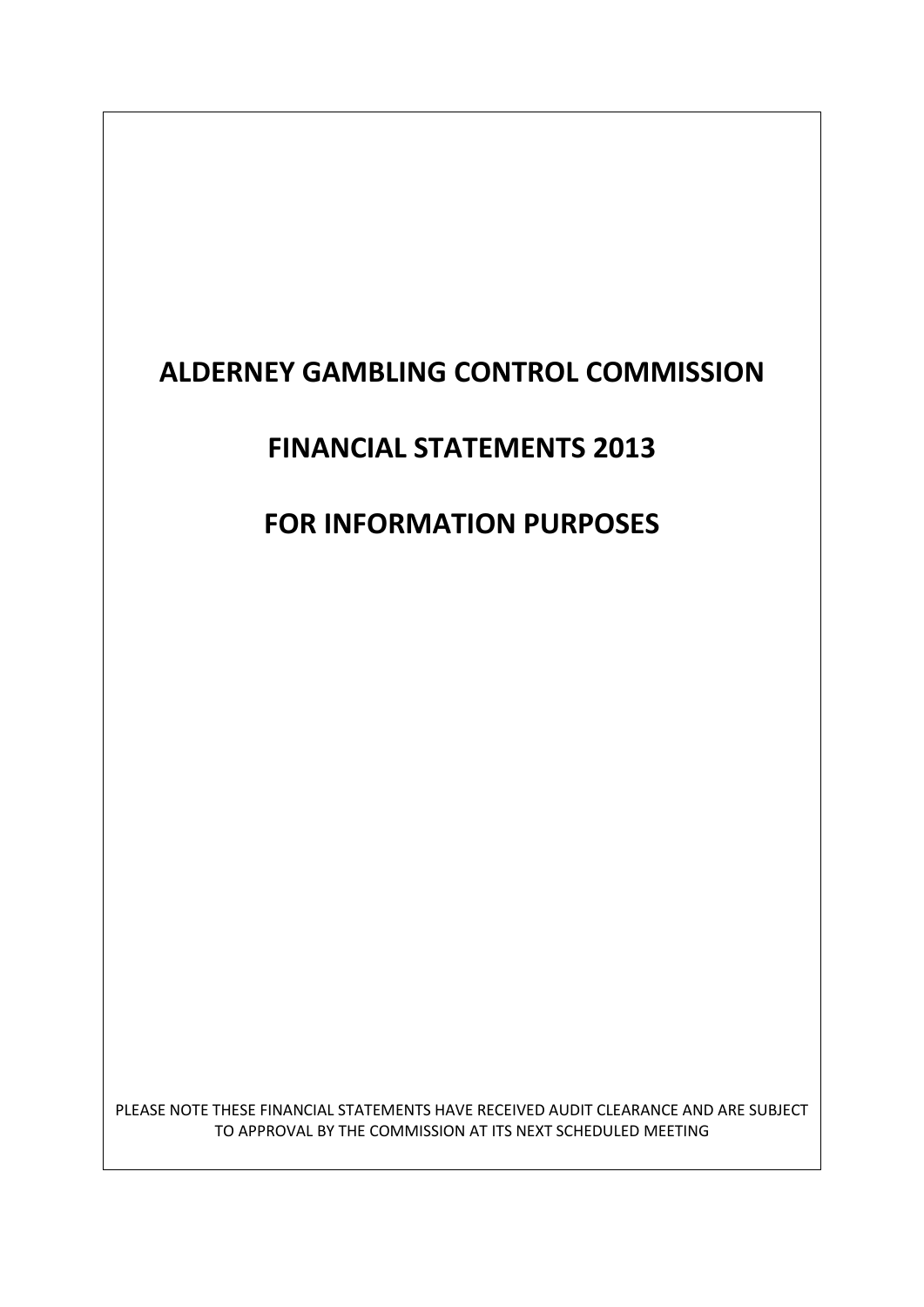# **ALDERNEY GAMBLING CONTROL COMMISSION**

## **FINANCIAL STATEMENTS 2013**

# **FOR INFORMATION PURPOSES**

PLEASE NOTE THESE FINANCIAL STATEMENTS HAVE RECEIVED AUDIT CLEARANCE AND ARE SUBJECT TO APPROVAL BY THE COMMISSION AT ITS NEXT SCHEDULED MEETING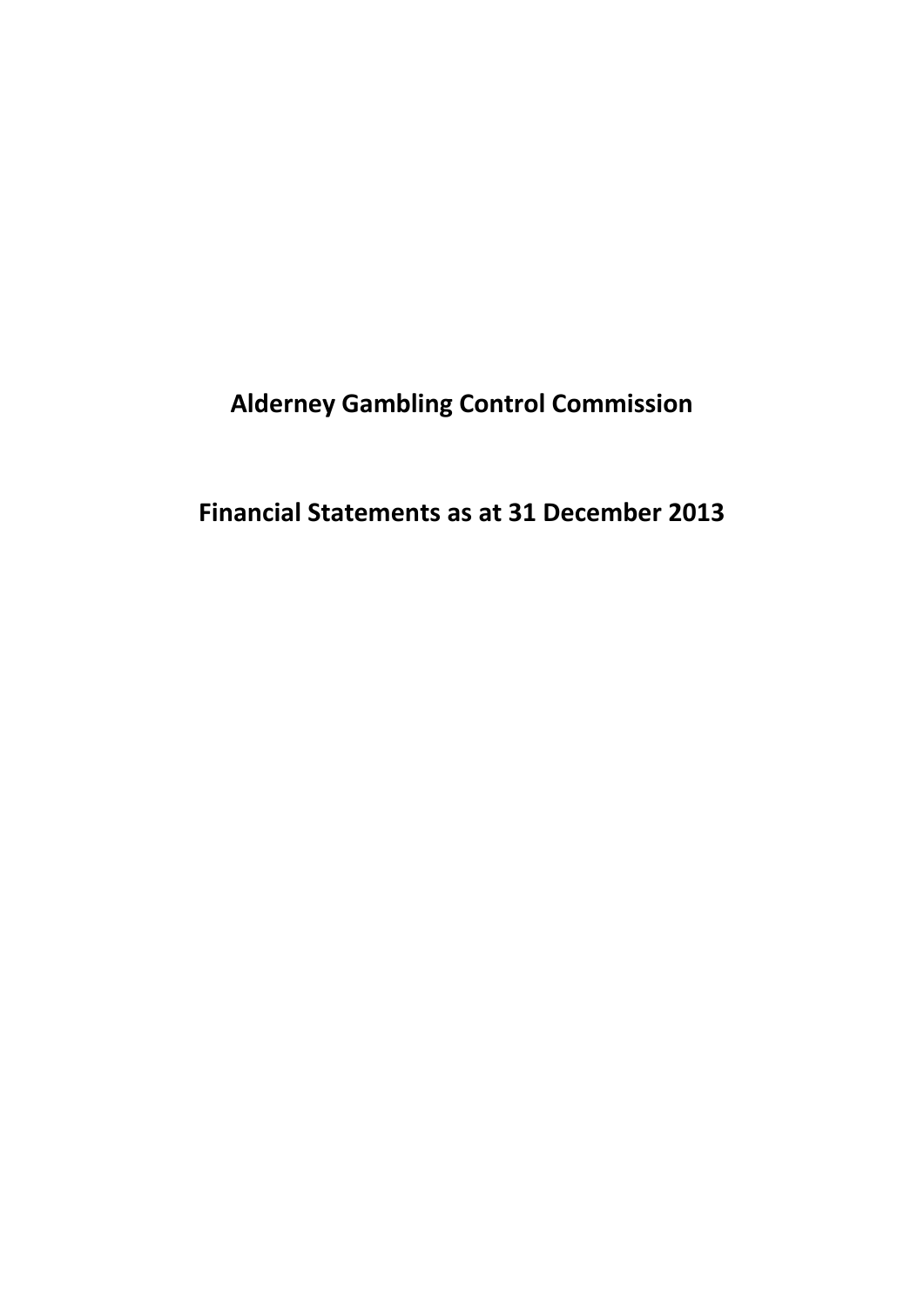**Alderney Gambling Control Commission**

**Financial Statements as at 31 December 2013**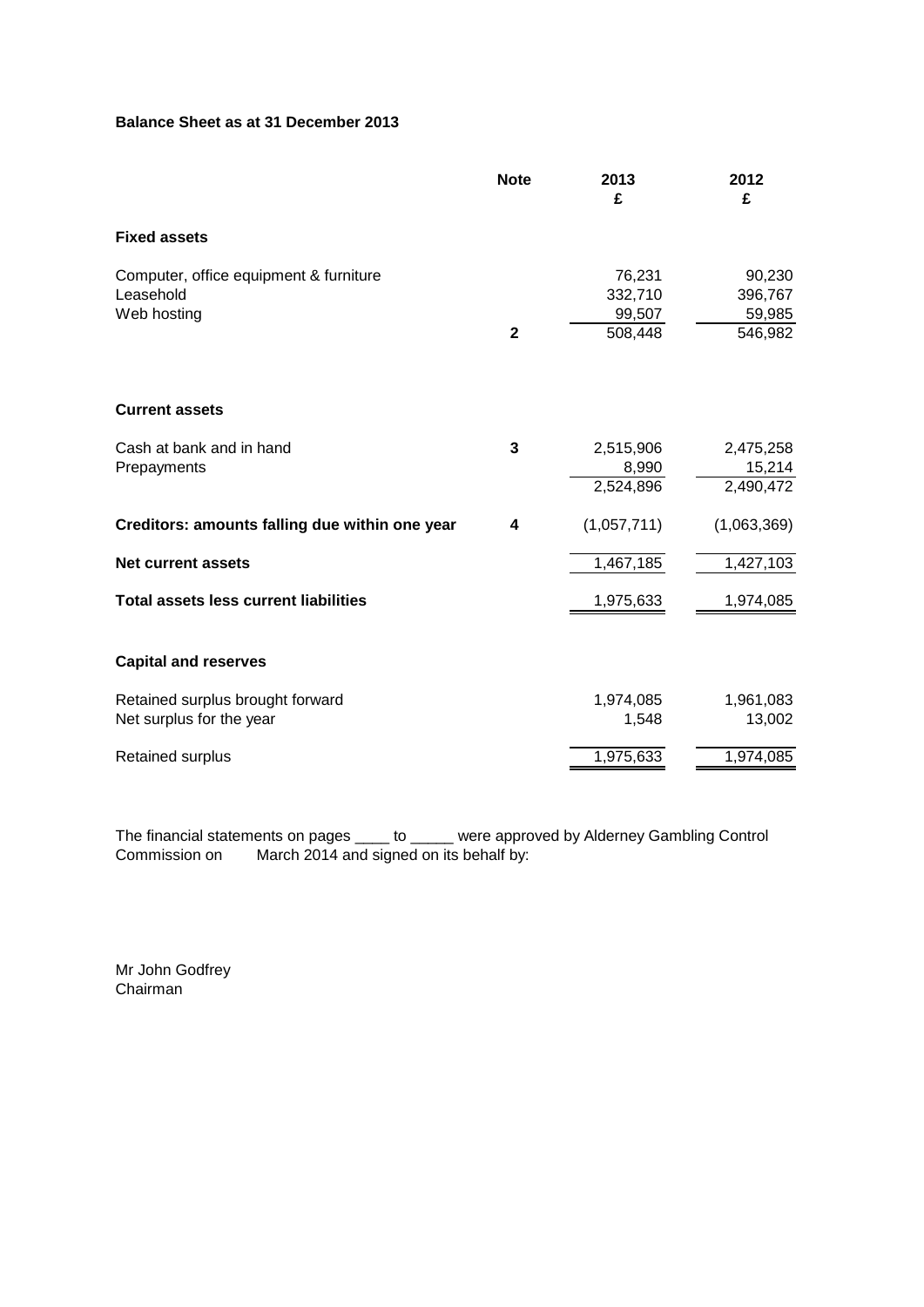### **Balance Sheet as at 31 December 2013**

|                                                                    | <b>Note</b>  | 2013<br>£                              | 2012<br>£                               |
|--------------------------------------------------------------------|--------------|----------------------------------------|-----------------------------------------|
| <b>Fixed assets</b>                                                |              |                                        |                                         |
| Computer, office equipment & furniture<br>Leasehold<br>Web hosting | $\mathbf{2}$ | 76,231<br>332,710<br>99,507<br>508,448 | 90,230<br>396,767<br>59,985<br>546,982  |
| <b>Current assets</b>                                              |              |                                        |                                         |
| Cash at bank and in hand<br>Prepayments                            | 3            | 2,515,906<br>8,990<br>2,524,896        | 2,475,258<br>$\frac{15,214}{2,490,472}$ |
| Creditors: amounts falling due within one year                     | 4            | (1,057,711)                            | (1,063,369)                             |
| <b>Net current assets</b>                                          |              | 1,467,185                              | 1,427,103                               |
| <b>Total assets less current liabilities</b>                       |              | 1,975,633                              | 1,974,085                               |
| <b>Capital and reserves</b>                                        |              |                                        |                                         |
| Retained surplus brought forward<br>Net surplus for the year       |              | 1,974,085<br>1,548                     | 1,961,083<br>13,002                     |
| <b>Retained surplus</b>                                            |              | 1,975,633                              | 1,974,085                               |

The financial statements on pages \_\_\_\_ to \_\_\_\_\_ were approved by Alderney Gambling Control Commission on March 2014 and signed on its behalf by:

Mr John Godfrey Chairman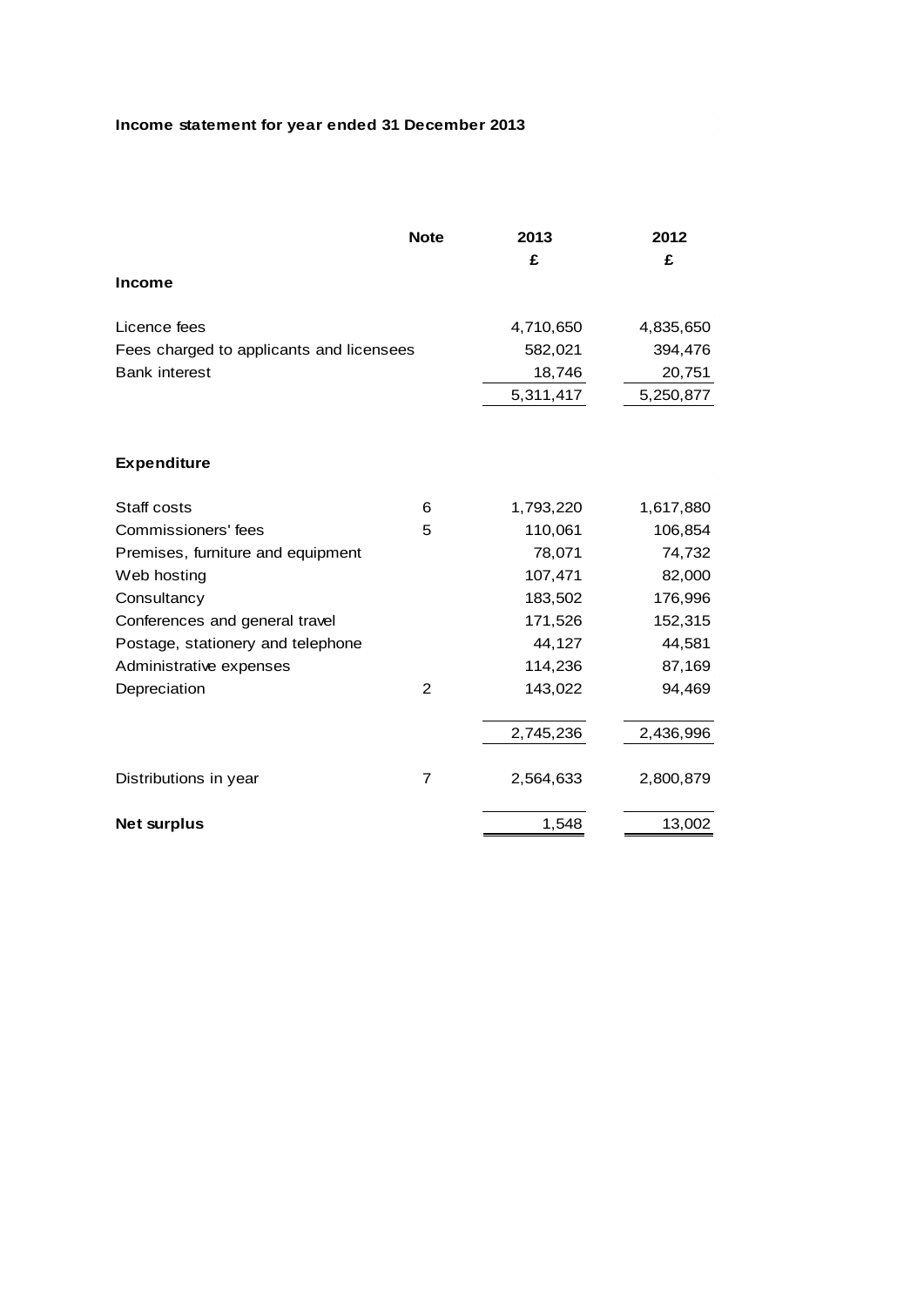### **Income statement for year ended 31 December 2013**

|                                          | <b>Note</b>    | 2013<br>£ | 2012<br>£ |
|------------------------------------------|----------------|-----------|-----------|
| <b>Income</b>                            |                |           |           |
| Licence fees                             |                | 4,710,650 | 4,835,650 |
| Fees charged to applicants and licensees |                | 582,021   | 394,476   |
| <b>Bank interest</b>                     |                | 18,746    | 20,751    |
|                                          |                | 5,311,417 | 5,250,877 |
|                                          |                |           |           |
| <b>Expenditure</b>                       |                |           |           |
| Staff costs                              | 6              | 1,793,220 | 1,617,880 |
| Commissioners' fees                      | 5              | 110,061   | 106,854   |
| Premises, furniture and equipment        |                | 78,071    | 74,732    |
| Web hosting                              |                | 107,471   | 82,000    |
| Consultancy                              |                | 183,502   | 176,996   |
| Conferences and general travel           |                | 171,526   | 152,315   |
| Postage, stationery and telephone        |                | 44,127    | 44,581    |
| Administrative expenses                  |                | 114,236   | 87,169    |
| Depreciation                             | $\mathfrak{p}$ | 143,022   | 94,469    |
|                                          |                | 2,745,236 | 2,436,996 |
| Distributions in year                    | $\overline{7}$ | 2,564,633 | 2,800,879 |
| <b>Net surplus</b>                       |                | 1,548     | 13,002    |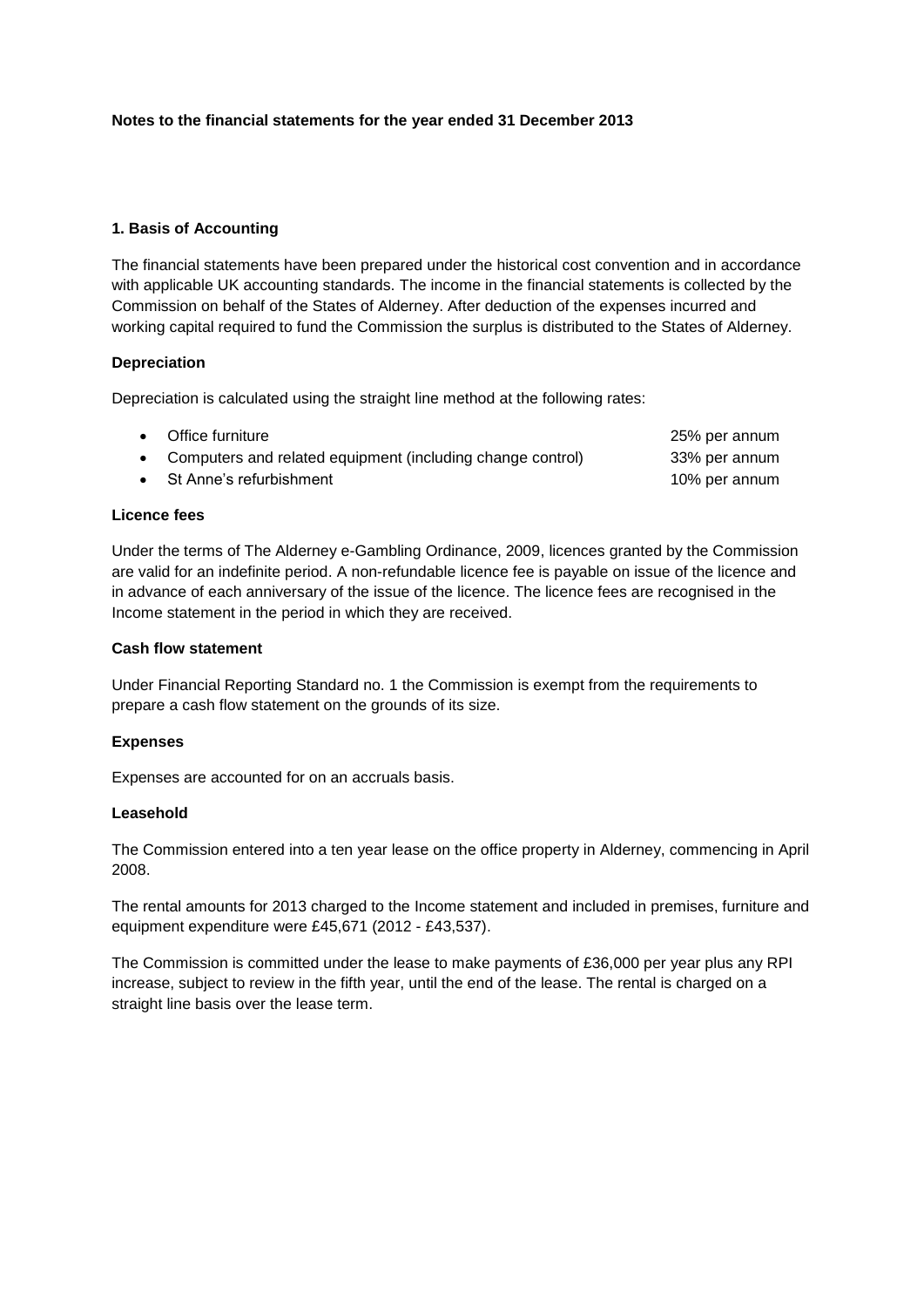#### **Notes to the financial statements for the year ended 31 December 2013**

#### **1. Basis of Accounting**

The financial statements have been prepared under the historical cost convention and in accordance with applicable UK accounting standards. The income in the financial statements is collected by the Commission on behalf of the States of Alderney. After deduction of the expenses incurred and working capital required to fund the Commission the surplus is distributed to the States of Alderney.

#### **Depreciation**

Depreciation is calculated using the straight line method at the following rates:

| • Office furniture                                           | 25% per annum |
|--------------------------------------------------------------|---------------|
| • Computers and related equipment (including change control) | 33% per annum |
| $\bullet$ St Anne's refurbishment                            | 10% per annum |

#### **Licence fees**

Under the terms of The Alderney e-Gambling Ordinance, 2009, licences granted by the Commission are valid for an indefinite period. A non-refundable licence fee is payable on issue of the licence and in advance of each anniversary of the issue of the licence. The licence fees are recognised in the Income statement in the period in which they are received.

#### **Cash flow statement**

Under Financial Reporting Standard no. 1 the Commission is exempt from the requirements to prepare a cash flow statement on the grounds of its size.

#### **Expenses**

Expenses are accounted for on an accruals basis.

#### **Leasehold**

The Commission entered into a ten year lease on the office property in Alderney, commencing in April 2008.

The rental amounts for 2013 charged to the Income statement and included in premises, furniture and equipment expenditure were £45,671 (2012 - £43,537).

The Commission is committed under the lease to make payments of £36,000 per year plus any RPI increase, subject to review in the fifth year, until the end of the lease. The rental is charged on a straight line basis over the lease term.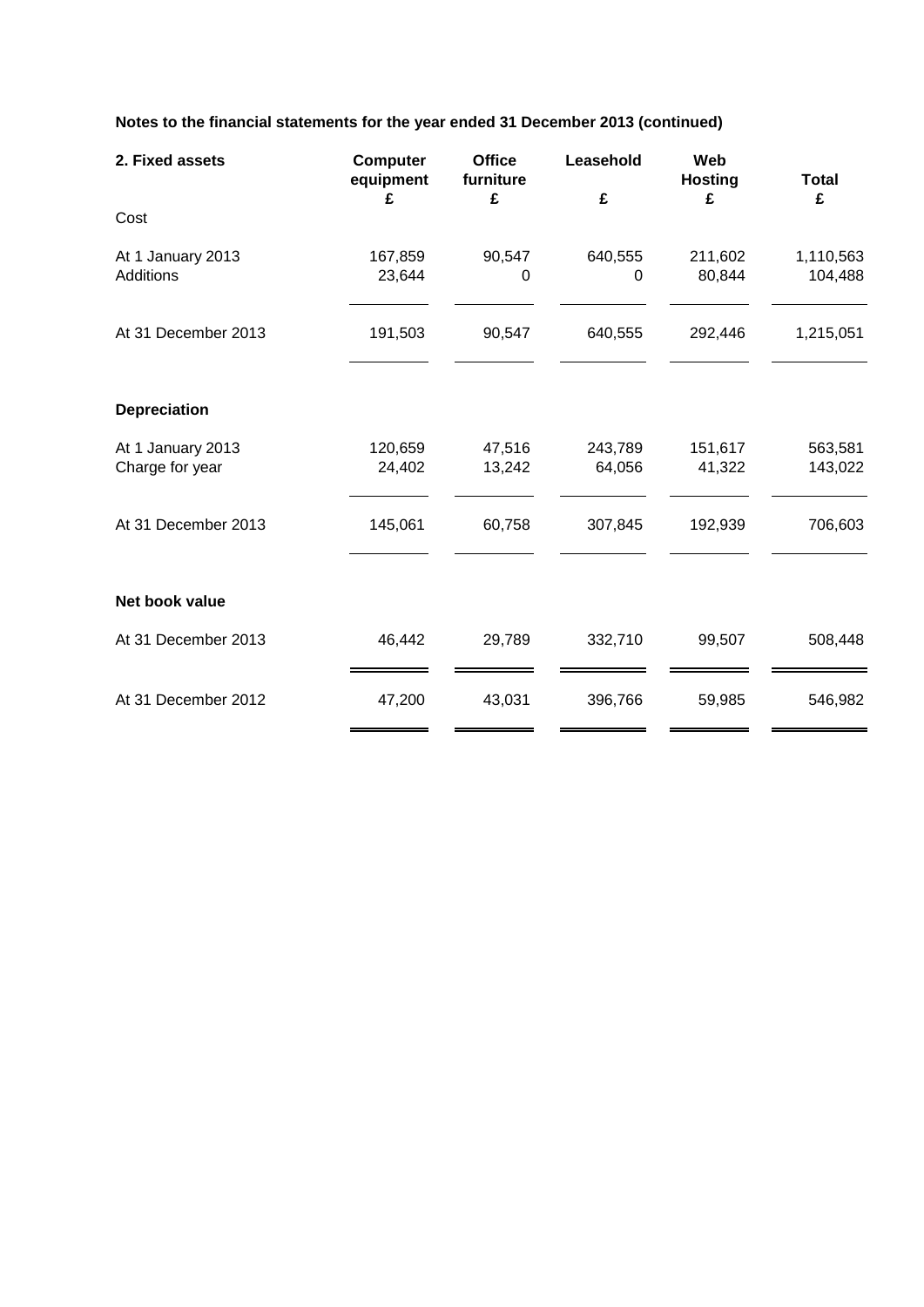| Notes to the financial statements for the year ended 31 December 2013 (continued) |  |  |
|-----------------------------------------------------------------------------------|--|--|
|                                                                                   |  |  |

| 2. Fixed assets                       | <b>Computer</b><br>equipment<br>£ | <b>Office</b><br>furniture<br>£ | Leasehold<br>£      | Web<br><b>Hosting</b><br>£ | <b>Total</b><br>£    |
|---------------------------------------|-----------------------------------|---------------------------------|---------------------|----------------------------|----------------------|
| Cost                                  |                                   |                                 |                     |                            |                      |
| At 1 January 2013<br><b>Additions</b> | 167,859<br>23,644                 | 90,547<br>0                     | 640,555<br>$\Omega$ | 211,602<br>80,844          | 1,110,563<br>104,488 |
| At 31 December 2013                   | 191,503                           | 90,547                          | 640,555             | 292,446                    | 1,215,051            |
| <b>Depreciation</b>                   |                                   |                                 |                     |                            |                      |
| At 1 January 2013<br>Charge for year  | 120,659<br>24,402                 | 47,516<br>13,242                | 243,789<br>64,056   | 151,617<br>41,322          | 563,581<br>143,022   |
| At 31 December 2013                   | 145,061                           | 60,758                          | 307,845             | 192,939                    | 706,603              |
| Net book value                        |                                   |                                 |                     |                            |                      |
| At 31 December 2013                   | 46,442                            | 29,789                          | 332,710             | 99,507                     | 508,448              |
| At 31 December 2012                   | 47,200                            | 43,031                          | 396,766             | 59,985                     | 546,982              |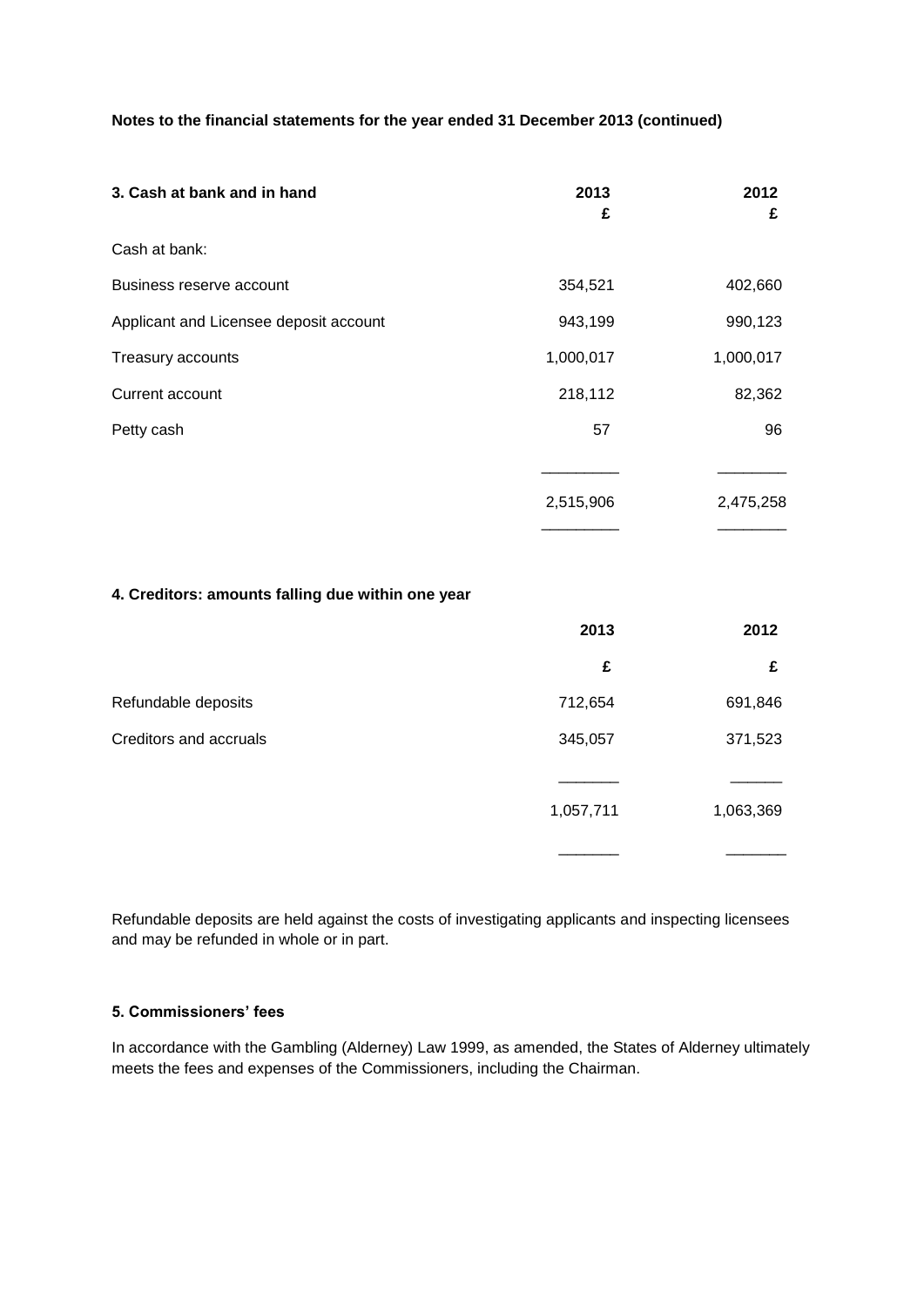**Notes to the financial statements for the year ended 31 December 2013 (continued)**

| 3. Cash at bank and in hand            | 2013<br>£ | 2012<br>£ |
|----------------------------------------|-----------|-----------|
| Cash at bank:                          |           |           |
| Business reserve account               | 354,521   | 402,660   |
| Applicant and Licensee deposit account | 943,199   | 990,123   |
| Treasury accounts                      | 1,000,017 | 1,000,017 |
| Current account                        | 218,112   | 82,362    |
| Petty cash                             | 57        | 96        |
|                                        |           |           |
|                                        | 2,515,906 | 2,475,258 |
|                                        |           |           |

#### **4. Creditors: amounts falling due within one year**

|                        | 2013      | 2012      |
|------------------------|-----------|-----------|
|                        | £         | £         |
| Refundable deposits    | 712,654   | 691,846   |
| Creditors and accruals | 345,057   | 371,523   |
|                        |           |           |
|                        | 1,057,711 | 1,063,369 |
|                        |           |           |

Refundable deposits are held against the costs of investigating applicants and inspecting licensees and may be refunded in whole or in part.

### **5. Commissioners' fees**

In accordance with the Gambling (Alderney) Law 1999, as amended, the States of Alderney ultimately meets the fees and expenses of the Commissioners, including the Chairman.